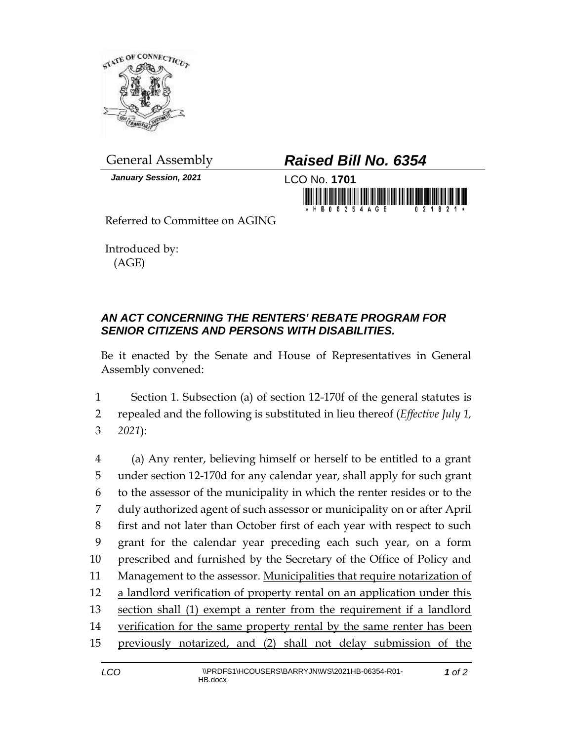

*January Session, 2021* LCO No. **1701**

## General Assembly *Raised Bill No. 6354*



Referred to Committee on AGING

Introduced by: (AGE)

## *AN ACT CONCERNING THE RENTERS' REBATE PROGRAM FOR SENIOR CITIZENS AND PERSONS WITH DISABILITIES.*

Be it enacted by the Senate and House of Representatives in General Assembly convened:

1 Section 1. Subsection (a) of section 12-170f of the general statutes is 2 repealed and the following is substituted in lieu thereof (*Effective July 1,*  3 *2021*):

 (a) Any renter, believing himself or herself to be entitled to a grant under section 12-170d for any calendar year, shall apply for such grant to the assessor of the municipality in which the renter resides or to the duly authorized agent of such assessor or municipality on or after April first and not later than October first of each year with respect to such grant for the calendar year preceding each such year, on a form prescribed and furnished by the Secretary of the Office of Policy and Management to the assessor. Municipalities that require notarization of a landlord verification of property rental on an application under this section shall (1) exempt a renter from the requirement if a landlord 14 verification for the same property rental by the same renter has been previously notarized, and (2) shall not delay submission of the